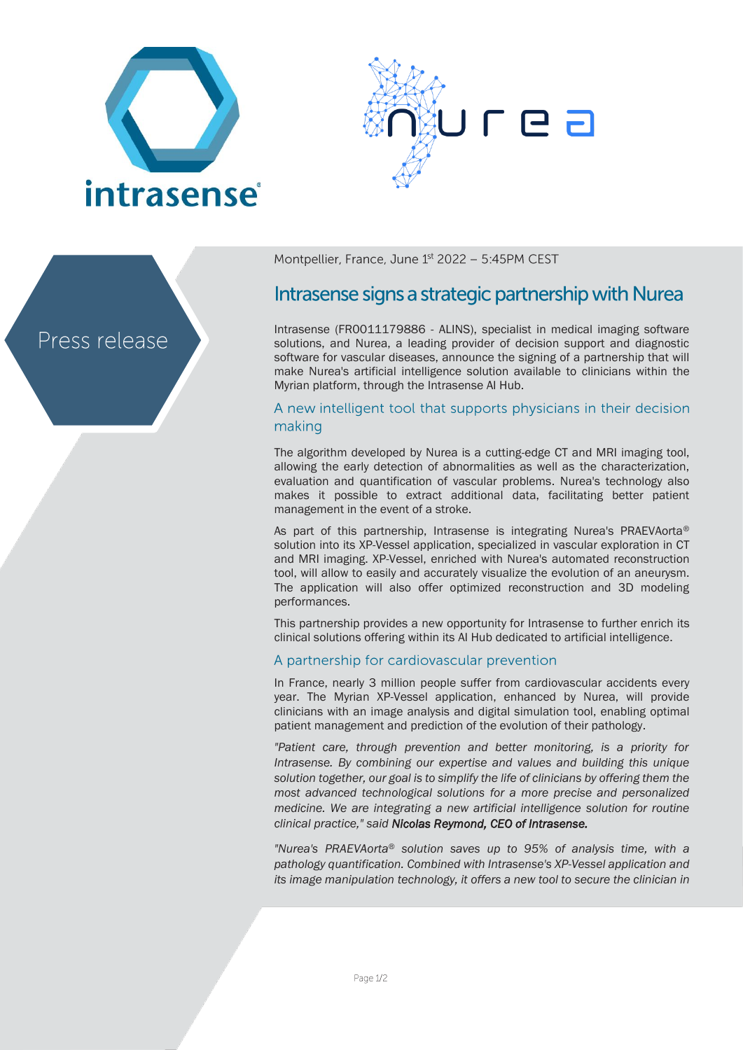





Montpellier, France, June 1st 2022 - 5:45PM CEST

# Intrasense signs a strategic partnership with Nurea

Intrasense (FR0011179886 - ALINS), specialist in medical imaging software solutions, and Nurea, a leading provider of decision support and diagnostic software for vascular diseases, announce the signing of a partnership that will make Nurea's artificial intelligence solution available to clinicians within the Myrian platform, through the Intrasense AI Hub.

# A new intelligent tool that supports physicians in their decision making

The algorithm developed by Nurea is a cutting-edge CT and MRI imaging tool, allowing the early detection of abnormalities as well as the characterization, evaluation and quantification of vascular problems. Nurea's technology also makes it possible to extract additional data, facilitating better patient management in the event of a stroke.

As part of this partnership, Intrasense is integrating Nurea's PRAEVAorta® solution into its XP-Vessel application, specialized in vascular exploration in CT and MRI imaging. XP-Vessel, enriched with Nurea's automated reconstruction tool, will allow to easily and accurately visualize the evolution of an aneurysm. The application will also offer optimized reconstruction and 3D modeling performances.

This partnership provides a new opportunity for Intrasense to further enrich its clinical solutions offering within its AI Hub dedicated to artificial intelligence.

# A partnership for cardiovascular prevention

In France, nearly 3 million people suffer from cardiovascular accidents every year. The Myrian XP-Vessel application, enhanced by Nurea, will provide clinicians with an image analysis and digital simulation tool, enabling optimal patient management and prediction of the evolution of their pathology.

*"Patient care, through prevention and better monitoring, is a priority for Intrasense. By combining our expertise and values and building this unique solution together, our goal is to simplify the life of clinicians by offering them the most advanced technological solutions for a more precise and personalized medicine. We are integrating a new artificial intelligence solution for routine clinical practice," said Nicolas Reymond, CEO of Intrasense.*

*"Nurea's PRAEVAorta*® *solution saves up to 95% of analysis time, with a pathology quantification. Combined with Intrasense's XP-Vessel application and its image manipulation technology, it offers a new tool to secure the clinician in*